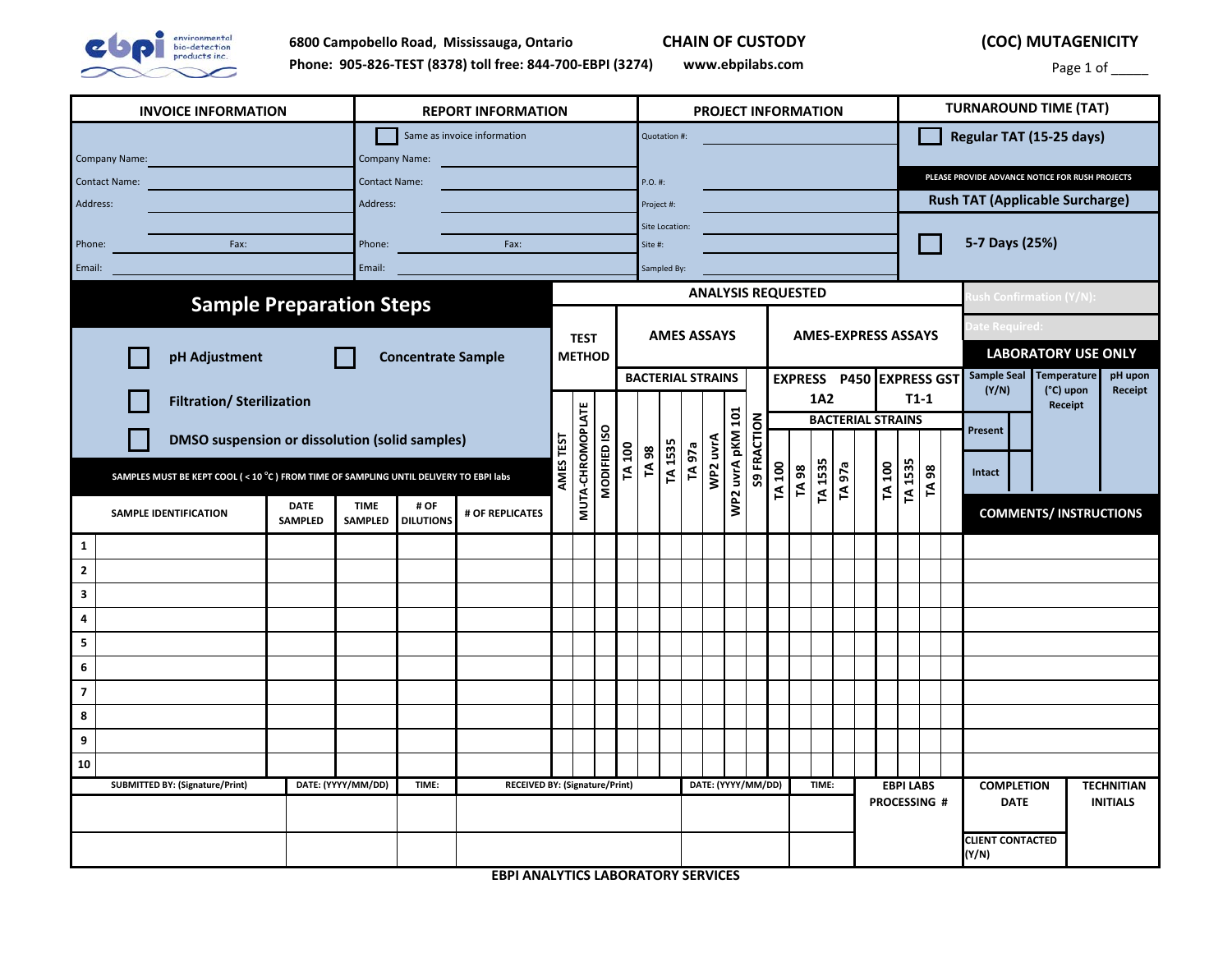

 **(COC) MUTAGENICITY**

Page 1 of \_\_\_\_\_\_

| <b>INVOICE INFORMATION</b>                                                           | <b>REPORT INFORMATION</b>                                                    |                                                       |                            | <b>PROJECT INFORMATION</b>                                   |                                                |                          | <b>TURNAROUND TIME (TAT)</b>                    |
|--------------------------------------------------------------------------------------|------------------------------------------------------------------------------|-------------------------------------------------------|----------------------------|--------------------------------------------------------------|------------------------------------------------|--------------------------|-------------------------------------------------|
|                                                                                      | Same as invoice information                                                  |                                                       | Quotation #:               |                                                              |                                                | Regular TAT (15-25 days) |                                                 |
| Company Name:                                                                        | Company Name:                                                                |                                                       |                            |                                                              |                                                |                          |                                                 |
| <b>Contact Name:</b>                                                                 | <b>Contact Name:</b>                                                         |                                                       | $P.O.$ #:                  |                                                              |                                                |                          | PLEASE PROVIDE ADVANCE NOTICE FOR RUSH PROJECTS |
| Address:                                                                             | Address:                                                                     |                                                       | Project #:                 |                                                              |                                                |                          | <b>Rush TAT (Applicable Surcharge)</b>          |
|                                                                                      |                                                                              |                                                       | Site Location:             |                                                              |                                                |                          | 5-7 Days (25%)                                  |
| Phone:<br>Fax:                                                                       | Phone:<br>Fax:                                                               |                                                       | Site #:                    |                                                              |                                                |                          |                                                 |
| Email:                                                                               | Email:                                                                       |                                                       | Sampled By:                |                                                              |                                                |                          |                                                 |
| <b>Sample Preparation Steps</b>                                                      | <b>ANALYSIS REQUESTED</b>                                                    |                                                       |                            |                                                              |                                                | ush Confirmation (Y/N):  |                                                 |
|                                                                                      |                                                                              |                                                       |                            | <b>AMES ASSAYS</b>                                           | <b>AMES-EXPRESS ASSAYS</b>                     |                          | ate Required:                                   |
| pH Adjustment<br><b>Concentrate Sample</b>                                           |                                                                              | <b>TEST</b><br><b>METHOD</b>                          |                            |                                                              |                                                |                          | <b>LABORATORY USE ONLY</b>                      |
|                                                                                      |                                                                              |                                                       |                            | <b>BACTERIAL STRAINS</b>                                     | EXPRESS P450 EXPRESS GST                       |                          | Sample Seal Temperature<br>pH upon              |
| <b>Filtration/ Sterilization</b>                                                     |                                                                              |                                                       |                            |                                                              | <b>1A2</b>                                     | $T1-1$                   | (Y/N)<br>(°C) upon<br>Receipt<br>Receipt        |
|                                                                                      |                                                                              |                                                       |                            |                                                              | <b>BACTERIAL STRAINS</b>                       |                          | Present                                         |
| <b>DMSO suspension or dissolution (solid samples)</b>                                |                                                                              | TEST                                                  |                            |                                                              |                                                |                          |                                                 |
| SAMPLES MUST BE KEPT COOL (<10 °C) FROM TIME OF SAMPLING UNTIL DELIVERY TO EBPI labs |                                                                              | MUTA-CHROMOPLATE<br>MODIFIED ISO<br>AMES <sup>-</sup> | TA 1535<br>TA 100<br>TA 98 | WP2 uvrA pKM 101<br><b>S9 FRACTION</b><br>WP2 uvrA<br>TA 97a | TA 1535<br>TA 100<br>TA 100<br>TA 97a<br>TA 98 | <b>TA 1535</b><br>TA 98  | Intact                                          |
| <b>DATE</b><br>SAMPLE IDENTIFICATION<br><b>SAMPLED</b>                               | <b>TIME</b><br># OF<br># OF REPLICATES<br><b>SAMPLED</b><br><b>DILUTIONS</b> |                                                       |                            |                                                              |                                                |                          | <b>COMMENTS/INSTRUCTIONS</b>                    |
| $\mathbf{1}$                                                                         |                                                                              |                                                       |                            |                                                              |                                                |                          |                                                 |
| $\mathbf{2}$                                                                         |                                                                              |                                                       |                            |                                                              |                                                |                          |                                                 |
| 3                                                                                    |                                                                              |                                                       |                            |                                                              |                                                |                          |                                                 |
| 4                                                                                    |                                                                              |                                                       |                            |                                                              |                                                |                          |                                                 |
| 5                                                                                    |                                                                              |                                                       |                            |                                                              |                                                |                          |                                                 |
| 6                                                                                    |                                                                              |                                                       |                            |                                                              |                                                |                          |                                                 |
| $\overline{\mathbf{z}}$                                                              |                                                                              |                                                       |                            |                                                              |                                                |                          |                                                 |
| 8                                                                                    |                                                                              |                                                       |                            |                                                              |                                                |                          |                                                 |
| 9                                                                                    |                                                                              |                                                       |                            |                                                              |                                                |                          |                                                 |
| 10                                                                                   |                                                                              |                                                       |                            |                                                              |                                                |                          |                                                 |
| <b>SUBMITTED BY: (Signature/Print)</b>                                               | DATE: (YYYY/MM/DD)<br>TIME:                                                  | <b>RECEIVED BY: (Signature/Print)</b>                 |                            | DATE: (YYYY/MM/DD)                                           | TIME:                                          | <b>EBPI LABS</b>         | <b>COMPLETION</b><br><b>TECHNITIAN</b>          |
|                                                                                      |                                                                              |                                                       |                            |                                                              |                                                | PROCESSING #             | <b>DATE</b><br><b>INITIALS</b>                  |
|                                                                                      |                                                                              |                                                       |                            |                                                              |                                                |                          | <b>CLIENT CONTACTED</b><br>(Y/N)                |

**EBPI ANALYTICS LABORATORY SERVICES**